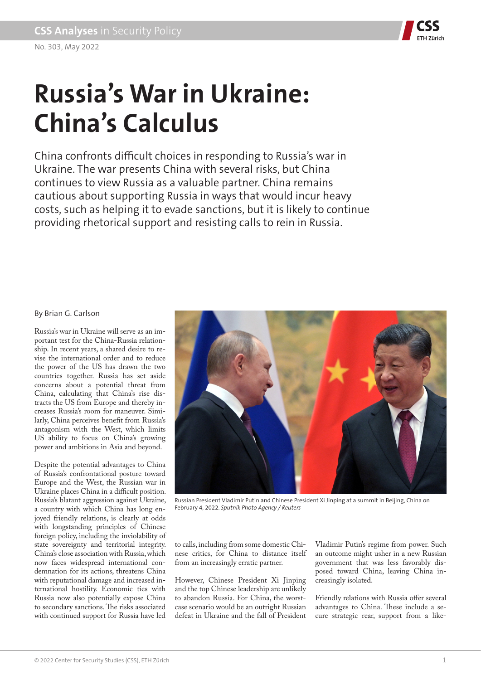

# **Russia's War in Ukraine: China's Calculus**

China confronts difficult choices in responding to Russia's war in Ukraine. The war presents China with several risks, but China continues to view Russia as a valuable partner. China remains cautious about supporting Russia in ways that would incur heavy costs, such as helping it to evade sanctions, but it is likely to continue providing rhetorical support and resisting calls to rein in Russia.

### By Brian G. Carlson

Russia's war in Ukraine will serve as an important test for the China-Russia relationship. In recent years, a shared desire to revise the international order and to reduce the power of the US has drawn the two countries together. Russia has set aside concerns about a potential threat from China, calculating that China's rise distracts the US from Europe and thereby increases Russia's room for maneuver. Similarly, China perceives benefit from Russia's antagonism with the West, which limits US ability to focus on China's growing power and ambitions in Asia and beyond.

Despite the potential advantages to China of Russia's confrontational posture toward Europe and the West, the Russian war in Ukraine places China in a difficult position. Russia's blatant aggression against Ukraine, a country with which China has long enjoyed friendly relations, is clearly at odds with longstanding principles of Chinese foreign policy, including the inviolability of state sovereignty and territorial integrity. China's close association with Russia, which now faces widespread international condemnation for its actions, threatens China with reputational damage and increased international hostility. Economic ties with Russia now also potentially expose China to secondary sanctions. The risks associated with continued support for Russia have led



Russian President Vladimir Putin and Chinese President Xi Jinping at a summit in Beijing, China on February 4, 2022. *Sputnik Photo Agency / Reuters*

to calls, including from some domestic Chinese critics, for China to distance itself from an increasingly erratic partner.

However, Chinese President Xi Jinping and the top Chinese leadership are unlikely to abandon Russia. For China, the worstcase scenario would be an outright Russian defeat in Ukraine and the fall of President

Vladimir Putin's regime from power. Such an outcome might usher in a new Russian government that was less favorably disposed toward China, leaving China increasingly isolated.

Friendly relations with Russia offer several advantages to China. These include a secure strategic rear, support from a like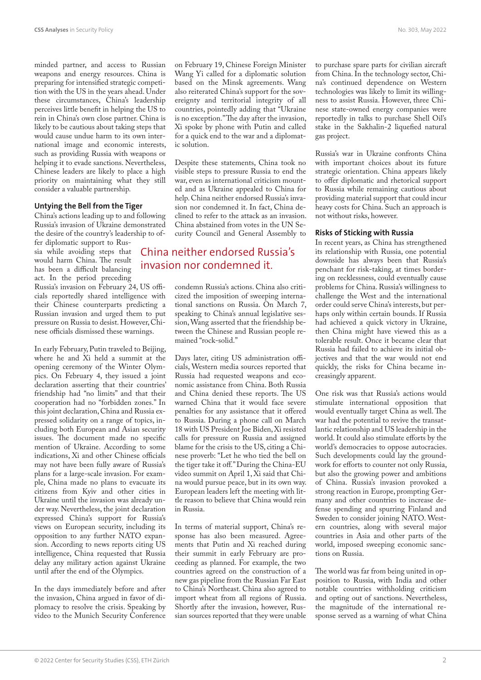minded partner, and access to Russian weapons and energy resources. China is preparing for intensified strategic competition with the US in the years ahead. Under these circumstances, China's leadership perceives little benefit in helping the US to rein in China's own close partner. China is likely to be cautious about taking steps that would cause undue harm to its own international image and economic interests, such as providing Russia with weapons or helping it to evade sanctions. Nevertheless, Chinese leaders are likely to place a high priority on maintaining what they still consider a valuable partnership.

#### **Untying the Bell from the Tiger**

China's actions leading up to and following Russia's invasion of Ukraine demonstrated the desire of the country's leadership to of-

fer diplomatic support to Russia while avoiding steps that would harm China. The result has been a difficult balancing act. In the period preceding

Russia's invasion on February 24, US officials reportedly shared intelligence with their Chinese counterparts predicting a Russian invasion and urged them to put pressure on Russia to desist. However, Chinese officials dismissed these warnings.

In early February, Putin traveled to Beijing, where he and Xi held a summit at the opening ceremony of the Winter Olympics. On February 4, they issued a joint declaration asserting that their countries' friendship had "no limits" and that their cooperation had no "forbidden zones." In this joint declaration, China and Russia expressed solidarity on a range of topics, including both European and Asian security issues. The document made no specific mention of Ukraine. According to some indications, Xi and other Chinese officials may not have been fully aware of Russia's plans for a large-scale invasion. For example, China made no plans to evacuate its citizens from Kyiv and other cities in Ukraine until the invasion was already under way. Nevertheless, the joint declaration expressed China's support for Russia's views on European security, including its opposition to any further NATO expansion. According to news reports citing US intelligence, China requested that Russia delay any military action against Ukraine until after the end of the Olympics.

In the days immediately before and after the invasion, China argued in favor of diplomacy to resolve the crisis. Speaking by video to the Munich Security Conference on February 19, Chinese Foreign Minister Wang Yi called for a diplomatic solution based on the Minsk agreements. Wang also reiterated China's support for the sovereignty and territorial integrity of all countries, pointedly adding that "Ukraine is no exception." The day after the invasion, Xi spoke by phone with Putin and called for a quick end to the war and a diplomatic solution.

Despite these statements, China took no visible steps to pressure Russia to end the war, even as international criticism mounted and as Ukraine appealed to China for help. China neither endorsed Russia's invasion nor condemned it. In fact, China declined to refer to the attack as an invasion. China abstained from votes in the UN Security Council and General Assembly to

## China neither endorsed Russia's invasion nor condemned it.

condemn Russia's actions. China also criticized the imposition of sweeping international sanctions on Russia. On March 7, speaking to China's annual legislative session, Wang asserted that the friendship between the Chinese and Russian people remained "rock-solid."

Days later, citing US administration officials, Western media sources reported that Russia had requested weapons and economic assistance from China. Both Russia and China denied these reports. The US warned China that it would face severe penalties for any assistance that it offered to Russia. During a phone call on March 18 with US President Joe Biden, Xi resisted calls for pressure on Russia and assigned blame for the crisis to the US, citing a Chinese proverb: "Let he who tied the bell on the tiger take it off." During the China-EU video summit on April 1, Xi said that China would pursue peace, but in its own way. European leaders left the meeting with little reason to believe that China would rein in Russia.

In terms of material support, China's response has also been measured. Agreements that Putin and Xi reached during their summit in early February are proceeding as planned. For example, the two countries agreed on the construction of a new gas pipeline from the Russian Far East to China's Northeast. China also agreed to import wheat from all regions of Russia. Shortly after the invasion, however, Russian sources reported that they were unable

to purchase spare parts for civilian aircraft from China. In the technology sector, China's continued dependence on Western technologies was likely to limit its willingness to assist Russia. However, three Chinese state-owned energy companies were reportedly in talks to purchase Shell Oil's stake in the Sakhalin-2 liquefied natural gas project.

Russia's war in Ukraine confronts China with important choices about its future strategic orientation. China appears likely to offer diplomatic and rhetorical support to Russia while remaining cautious about providing material support that could incur heavy costs for China. Such an approach is not without risks, however.

#### **Risks of Sticking with Russia**

In recent years, as China has strengthened its relationship with Russia, one potential downside has always been that Russia's penchant for risk-taking, at times bordering on recklessness, could eventually cause problems for China. Russia's willingness to challenge the West and the international order could serve China's interests, but perhaps only within certain bounds. If Russia had achieved a quick victory in Ukraine, then China might have viewed this as a tolerable result. Once it became clear that Russia had failed to achieve its initial objectives and that the war would not end quickly, the risks for China became increasingly apparent.

One risk was that Russia's actions would stimulate international opposition that would eventually target China as well. The war had the potential to revive the transatlantic relationship and US leadership in the world. It could also stimulate efforts by the world's democracies to oppose autocracies. Such developments could lay the groundwork for efforts to counter not only Russia, but also the growing power and ambitions of China. Russia's invasion provoked a strong reaction in Europe, prompting Germany and other countries to increase defense spending and spurring Finland and Sweden to consider joining NATO. Western countries, along with several major countries in Asia and other parts of the world, imposed sweeping economic sanctions on Russia.

The world was far from being united in opposition to Russia, with India and other notable countries withholding criticism and opting out of sanctions. Nevertheless, the magnitude of the international response served as a warning of what China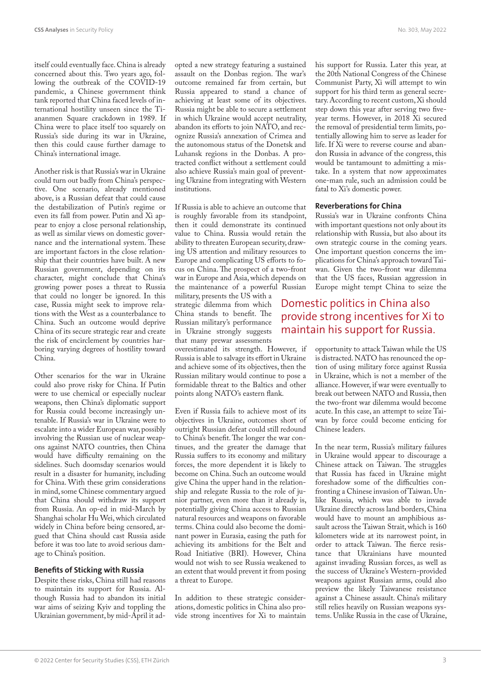itself could eventually face. China is already concerned about this. Two years ago, following the outbreak of the COVID-19 pandemic, a Chinese government think tank reported that China faced levels of international hostility unseen since the Tiananmen Square crackdown in 1989. If China were to place itself too squarely on Russia's side during its war in Ukraine, then this could cause further damage to China's international image.

Another risk is that Russia's war in Ukraine could turn out badly from China's perspective. One scenario, already mentioned above, is a Russian defeat that could cause the destabilization of Putin's regime or even its fall from power. Putin and Xi appear to enjoy a close personal relationship, as well as similar views on domestic governance and the international system. These are important factors in the close relationship that their countries have built. A new Russian government, depending on its character, might conclude that China's growing power poses a threat to Russia that could no longer be ignored. In this case, Russia might seek to improve relations with the West as a counterbalance to China. Such an outcome would deprive China of its secure strategic rear and create the risk of encirclement by countries harboring varying degrees of hostility toward China.

Other scenarios for the war in Ukraine could also prove risky for China. If Putin were to use chemical or especially nuclear weapons, then China's diplomatic support for Russia could become increasingly untenable. If Russia's war in Ukraine were to escalate into a wider European war, possibly involving the Russian use of nuclear weapons against NATO countries, then China would have difficulty remaining on the sidelines. Such doomsday scenarios would result in a disaster for humanity, including for China. With these grim considerations in mind, some Chinese commentary argued that China should withdraw its support from Russia. An op-ed in mid-March by Shanghai scholar Hu Wei, which circulated widely in China before being censored, argued that China should cast Russia aside before it was too late to avoid serious damage to China's position.

#### **Benefits of Sticking with Russia**

Despite these risks, China still had reasons to maintain its support for Russia. Although Russia had to abandon its initial war aims of seizing Kyiv and toppling the Ukrainian government, by mid-April it adopted a new strategy featuring a sustained assault on the Donbas region. The war's outcome remained far from certain, but Russia appeared to stand a chance of achieving at least some of its objectives. Russia might be able to secure a settlement in which Ukraine would accept neutrality, abandon its efforts to join NATO, and recognize Russia's annexation of Crimea and the autonomous status of the Donetsk and Luhansk regions in the Donbas. A protracted conflict without a settlement could also achieve Russia's main goal of preventing Ukraine from integrating with Western institutions.

If Russia is able to achieve an outcome that is roughly favorable from its standpoint, then it could demonstrate its continued value to China. Russia would retain the ability to threaten European security, drawing US attention and military resources to Europe and complicating US efforts to focus on China. The prospect of a two-front war in Europe and Asia, which depends on the maintenance of a powerful Russian

military, presents the US with a strategic dilemma from which China stands to benefit. The Russian military's performance in Ukraine strongly suggests that many prewar assessments

overestimated its strength. However, if Russia is able to salvage its effort in Ukraine and achieve some of its objectives, then the Russian military would continue to pose a formidable threat to the Baltics and other points along NATO's eastern flank.

Even if Russia fails to achieve most of its objectives in Ukraine, outcomes short of outright Russian defeat could still redound to China's benefit. The longer the war continues, and the greater the damage that Russia suffers to its economy and military forces, the more dependent it is likely to become on China. Such an outcome would give China the upper hand in the relationship and relegate Russia to the role of junior partner, even more than it already is, potentially giving China access to Russian natural resources and weapons on favorable terms. China could also become the dominant power in Eurasia, easing the path for achieving its ambitions for the Belt and Road Initiative (BRI). However, China would not wish to see Russia weakened to an extent that would prevent it from posing a threat to Europe.

In addition to these strategic considerations, domestic politics in China also provide strong incentives for Xi to maintain his support for Russia. Later this year, at the 20th National Congress of the Chinese Communist Party, Xi will attempt to win support for his third term as general secretary. According to recent custom, Xi should step down this year after serving two fiveyear terms. However, in 2018 Xi secured the removal of presidential term limits, potentially allowing him to serve as leader for life. If Xi were to reverse course and abandon Russia in advance of the congress, this would be tantamount to admitting a mistake. In a system that now approximates one-man rule, such an admission could be fatal to Xi's domestic power.

#### **Reverberations for China**

Russia's war in Ukraine confronts China with important questions not only about its relationship with Russia, but also about its own strategic course in the coming years. One important question concerns the implications for China's approach toward Taiwan. Given the two-front war dilemma that the US faces, Russian aggression in Europe might tempt China to seize the

## Domestic politics in China also provide strong incentives for Xi to maintain his support for Russia.

opportunity to attack Taiwan while the US is distracted. NATO has renounced the option of using military force against Russia in Ukraine, which is not a member of the alliance. However, if war were eventually to break out between NATO and Russia, then the two-front war dilemma would become acute. In this case, an attempt to seize Taiwan by force could become enticing for Chinese leaders.

In the near term, Russia's military failures in Ukraine would appear to discourage a Chinese attack on Taiwan. The struggles that Russia has faced in Ukraine might foreshadow some of the difficulties confronting a Chinese invasion of Taiwan. Unlike Russia, which was able to invade Ukraine directly across land borders, China would have to mount an amphibious assault across the Taiwan Strait, which is 160 kilometers wide at its narrowest point, in order to attack Taiwan. The fierce resistance that Ukrainians have mounted against invading Russian forces, as well as the success of Ukraine's Western-provided weapons against Russian arms, could also preview the likely Taiwanese resistance against a Chinese assault. China's military still relies heavily on Russian weapons systems. Unlike Russia in the case of Ukraine,